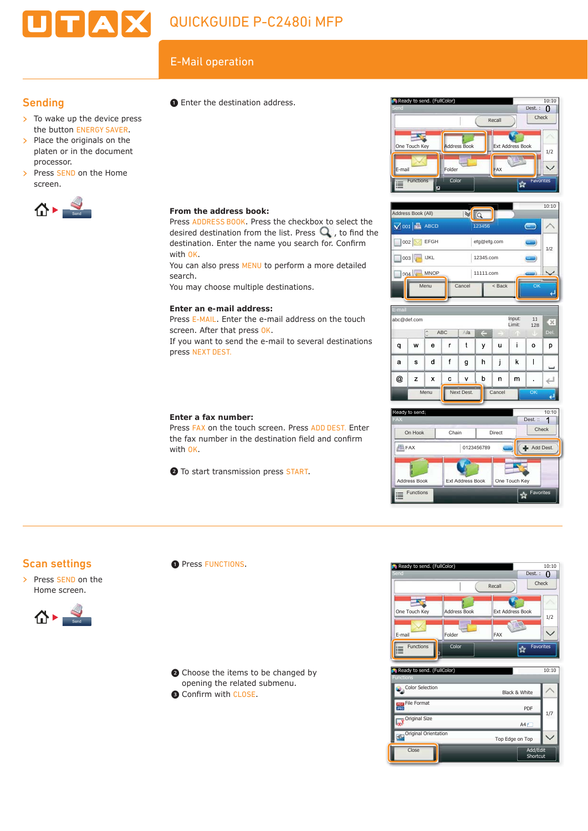# $E$ -Mail operation<br>  $\bullet$  Fnter the destination address  $\bullet$  Ready to send. (FullColor)

## **Sending**

- $\triangleright$  To wake up the device press the button ENERGY SAVER.
- $\triangleright$  Place the originals on the platen or in the document processor.
- > Press SEND on the Home screen.



# ❶ Enter the destination address.

### **From the address book:**

Press ADDRESS BOOK. Press the checkbox to select the desired destination from the list. Press  $\mathbf Q$ , to find the destination. Enter the name you search for. Confirm with OK.

You can also press MENU to perform a more detailed search.

You may choose multiple destinations.

### **Enter an e-mail address:**

Press E-MAIL. Enter the e-mail address on the touch screen. After that press OK.

If you want to send the e-mail to several destinations press NEXT DEST.

### **Enter a fax number:**

Press FAX on the touch screen. Press ADD DEST. Enter the fax number in the destination field and confirm with OK.

❷ To start transmission press START.











| Ready to send. (FullColor)               | 10:10                |  |
|------------------------------------------|----------------------|--|
| <b>Functions</b>                         |                      |  |
| Color Selection                          | Black & White        |  |
| <b>File Format</b><br>POF<br><b>JPEG</b> | PDF<br>1/7           |  |
| Original Size                            | A4                   |  |
| Original Orientation                     | Top Edge on Top      |  |
| Close                                    | Add/Edit<br>Shortcut |  |

# Scan settings

> Press SEND on the Home screen.



### **O** Press FUNCTIONS.

❷ Choose the items to be changed by opening the related submenu.

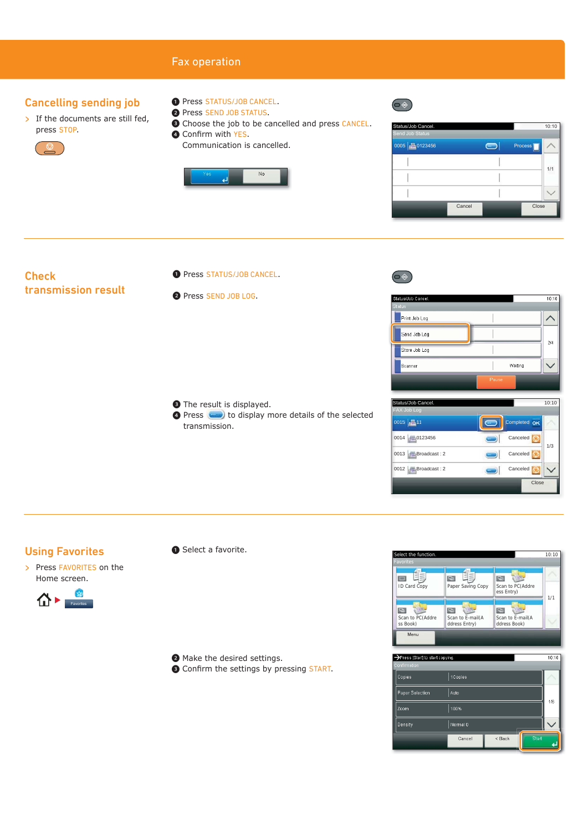# Fax operation

### Cancelling sending job

- $\triangleright$  If the documents are still fed, press STOP.
	-
- ❶ Press STATUS/JOB CANCEL.
- ❷ Press SEND JOB STATUS.
- ❸ Choose the job to be cancelled and press CANCEL.
- **4 Confirm with YES.** Communication is cancelled.



| Status/Job Cancel.<br>Send Job Status |        |         | 10:10 |  |
|---------------------------------------|--------|---------|-------|--|
| 0005 20123456                         |        | Process |       |  |
|                                       |        |         | 1/1   |  |
|                                       |        |         |       |  |
|                                       |        |         |       |  |
|                                       | Cancel | Close   |       |  |

### **Check** transmission result

- O Press STATUS/JOB CANCEL.
- ❷ Press SEND JOB LOG.

- ❸ The result is displayed.
- **O** Press **to display more details of the selected** transmission.



 $\circledcirc$ 



| Status/Job Cancel.    | 10:10           |
|-----------------------|-----------------|
| <b>FAX Job Log</b>    |                 |
| 0015 211              | Completed CK    |
| 0014 0123456          | Canceled<br>1/3 |
| $ 0013 $ Broadcast: 2 | Canceled        |
| 0012 Broadcast: 2     | Canceled        |
|                       | Close           |

### Using Favorites

> Press FAVORITES on the Home screen.

![](_page_1_Figure_20.jpeg)

❶ Select a favorite.

❷ Make the desired settings.

**E** Confirm the settings by pressing START.

![](_page_1_Picture_24.jpeg)

![](_page_1_Picture_25.jpeg)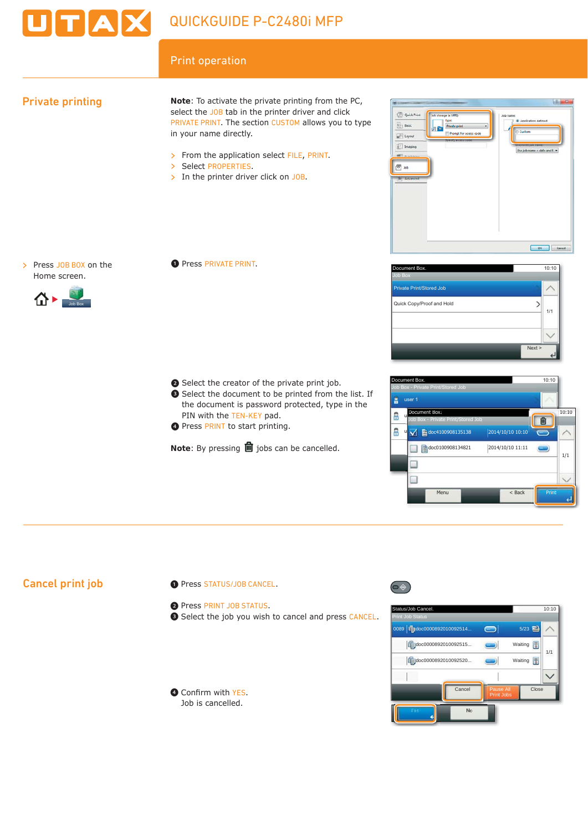![](_page_2_Picture_0.jpeg)

# Print operation

# Private printing

**Note**: To activate the private printing from the PC, select the JOB tab in the printer driver and click PRIVATE PRINT. The section CUSTOM allows you to type in your name directly.

> From the application select FILE, PRINT.

- > Select PROPERTIES.
- $\triangleright$  In the printer driver click on JOB.

![](_page_2_Picture_8.jpeg)

> Press JOB BOX on the Home screen.

![](_page_2_Picture_10.jpeg)

❶ Press PRIVATE PRINT.

- ❷ Select the creator of the private print job.
- ❸ Select the document to be printed from the list. If the document is password protected, type in the PIN with the TEN-KEY pad. O Select the creator of the private print job.<br>
O Select the document to be printed from the list. If<br>
the document is password protected, type in the<br>
PIN with the TEN-KEY pad.<br>
O Press PRINT to start printing.
	- **O** Press PRINT to start printing.

**Note:** By pressing **l** jobs can be cancelled.

![](_page_2_Picture_16.jpeg)

![](_page_2_Picture_17.jpeg)

# Cancel print job

- ❶ Press STATUS/JOB CANCEL.
- ❷ Press PRINT JOB STATUS.
- ❸ Select the job you wish to cancel and press CANCEL.

![](_page_2_Picture_22.jpeg)

![](_page_2_Picture_23.jpeg)

![](_page_2_Picture_24.jpeg)